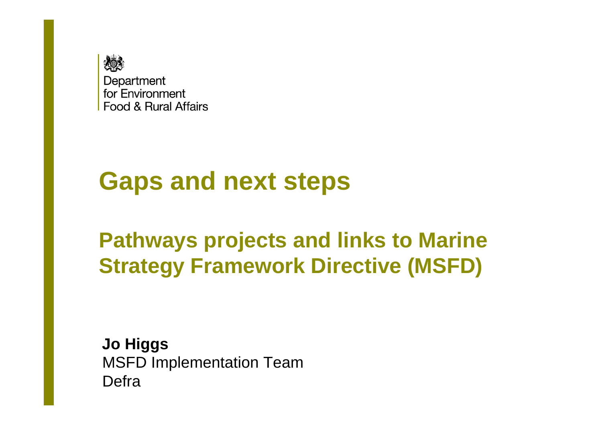

#### **Gaps and next steps**

**Pathways projects and links to Marine Strategy Framework Directive (MSFD)**

**Jo Higgs** MSFD Implementation TeamDefra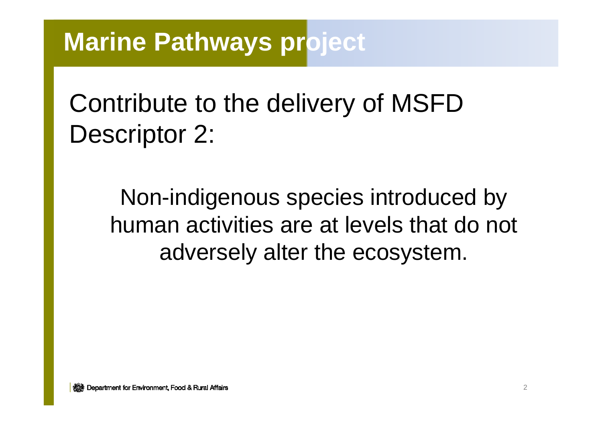# Contribute to the delivery of MSFD Descriptor 2:

Non-indigenous species introduced by human activities are at levels that do not adversely alter the ecosystem.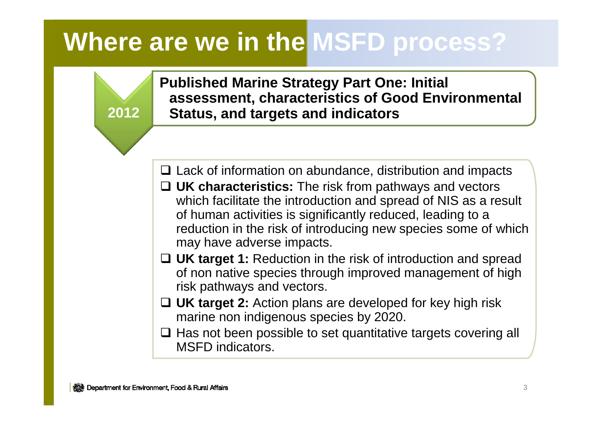**Published Marine Strategy Part One: Initial assessment, characteristics of Good Environmental Status, and targets and indicators** 

- **□ Lack of information on abundance, distribution and impacts**<br>□ **UK oberactoristics:** The risk from pathways and vectors **□ UK characteristics:** The risk from pathways and vectors which facilitate the introduction and spread of NIS as a reg
- which facilitate the introduction and spread of NIS as a result of human activities is significantly reduced, leading to a reduction in the risk of introducing new species some of which may have adverse impacts.
- **□ UK target 1:** Reduction in the risk of introduction and spread<br>of non pative species through improved management of high of non native species through improved management of high risk pathways and vectors.
- **UK target 2:** Action plans are developed for key high risk marine non indigenous species by 2020.
- □ Has not been possible to set quantitative targets covering all<br>MSED indicators MSFD indicators.

**2012**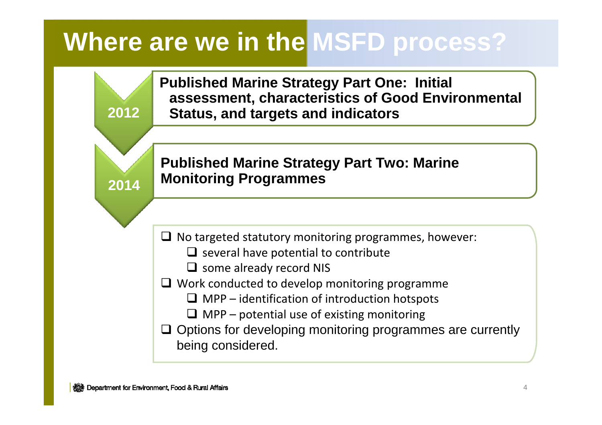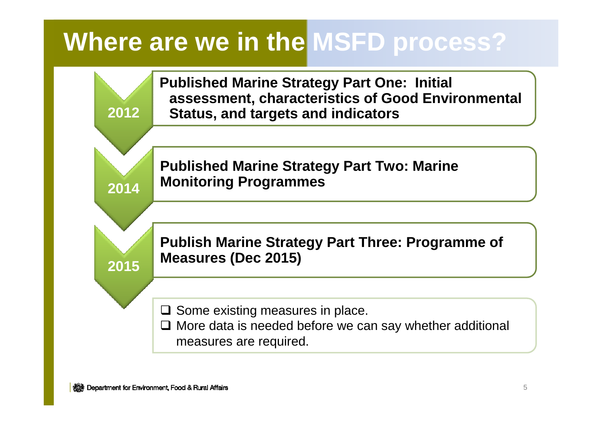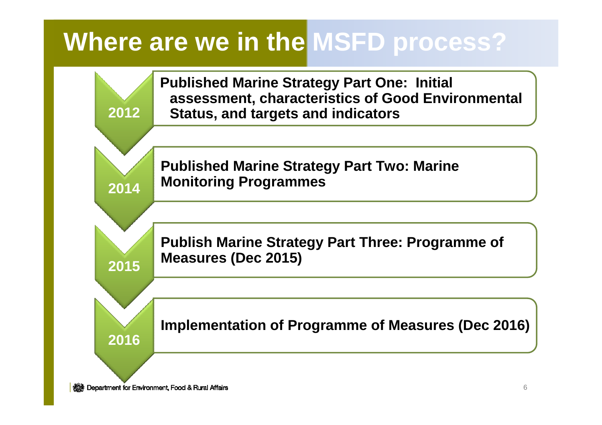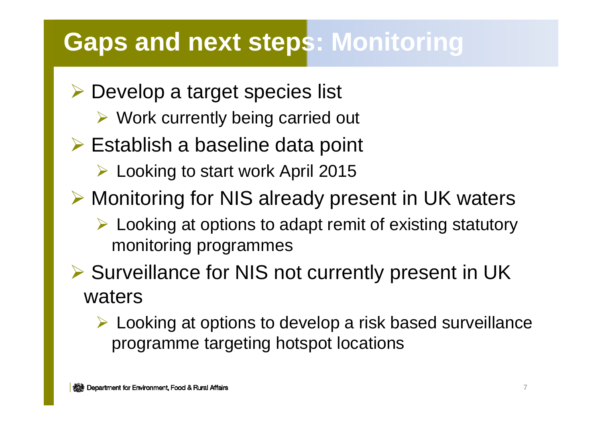#### **Gaps and next steps: Monitoring**

- Develop a target species list
	- ► Work currently being carried out
- **► Establish a baseline data point** 
	- Looking to start work April 2015
- Monitoring for NIS already present in UK waters
	- > Looking at options to adapt remit of existing statutory monitoring programmes
- Surveillance for NIS not currently present in UK waters
	- > Looking at options to develop a risk based surveillance programme targeting hotspot locations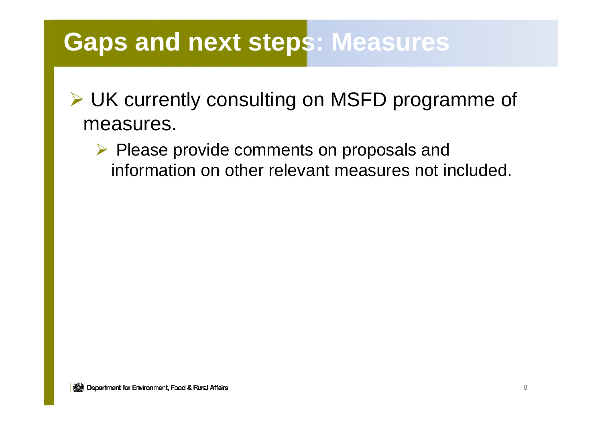#### **Gaps and next steps: Measures**

#### - UK currently consulting on MSFD programme of measures.

> Please provide comments on proposals and<br>information on other relayent measures not in information on other relevant measures not included.